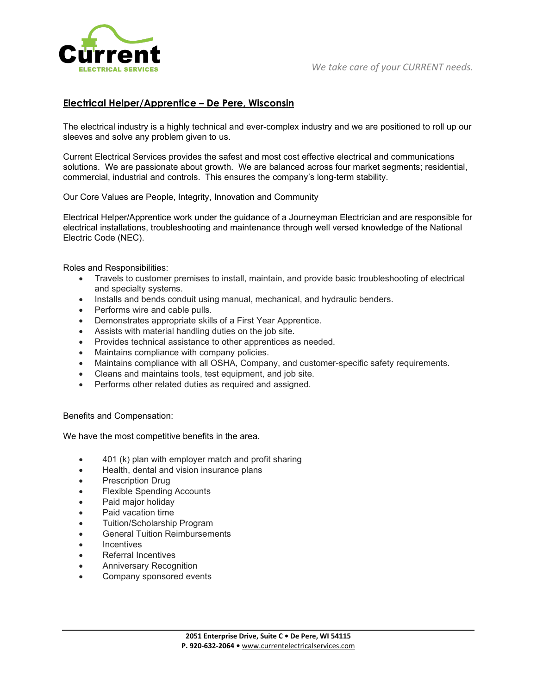

## **Electrical Helper/Apprentice – De Pere, Wisconsin**

The electrical industry is a highly technical and ever-complex industry and we are positioned to roll up our sleeves and solve any problem given to us.

Current Electrical Services provides the safest and most cost effective electrical and communications solutions. We are passionate about growth. We are balanced across four market segments; residential, commercial, industrial and controls. This ensures the company's long-term stability.

Our Core Values are People, Integrity, Innovation and Community

Electrical Helper/Apprentice work under the guidance of a Journeyman Electrician and are responsible for electrical installations, troubleshooting and maintenance through well versed knowledge of the National Electric Code (NEC).

Roles and Responsibilities:

- Travels to customer premises to install, maintain, and provide basic troubleshooting of electrical and specialty systems.
- Installs and bends conduit using manual, mechanical, and hydraulic benders.
- Performs wire and cable pulls.
- Demonstrates appropriate skills of a First Year Apprentice.
- Assists with material handling duties on the job site.
- Provides technical assistance to other apprentices as needed.
- Maintains compliance with company policies.
- Maintains compliance with all OSHA, Company, and customer-specific safety requirements.
- Cleans and maintains tools, test equipment, and job site.
- Performs other related duties as required and assigned.

Benefits and Compensation:

We have the most competitive benefits in the area.

- 401 (k) plan with employer match and profit sharing
- Health, dental and vision insurance plans
- Prescription Drug
- **Flexible Spending Accounts**
- Paid major holiday
- Paid vacation time
- Tuition/Scholarship Program
- General Tuition Reimbursements
- **Incentives**
- Referral Incentives
- Anniversary Recognition
- Company sponsored events